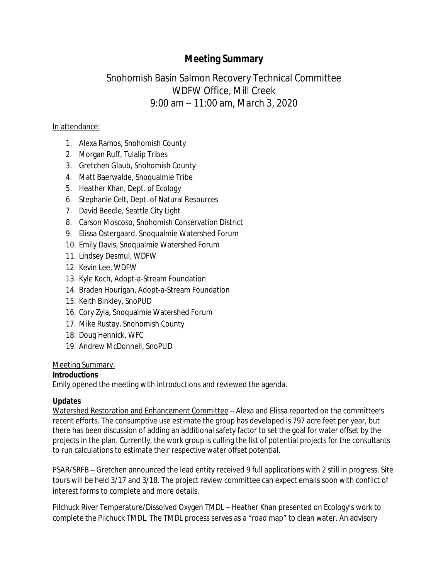# **Meeting Summary**

# Snohomish Basin Salmon Recovery Technical Committee WDFW Office, Mill Creek 9:00 am – 11:00 am, March 3, 2020

### In attendance:

- 1. Alexa Ramos, Snohomish County
- 2. Morgan Ruff, Tulalip Tribes
- 3. Gretchen Glaub, Snohomish County
- 4. Matt Baerwalde, Snoqualmie Tribe
- 5. Heather Khan, Dept. of Ecology
- 6. Stephanie Celt, Dept. of Natural Resources
- 7. David Beedle, Seattle City Light
- 8. Carson Moscoso, Snohomish Conservation District
- 9. Elissa Ostergaard, Snoqualmie Watershed Forum
- 10. Emily Davis, Snoqualmie Watershed Forum
- 11. Lindsey Desmul, WDFW
- 12. Kevin Lee, WDFW
- 13. Kyle Koch, Adopt-a-Stream Foundation
- 14. Braden Hourigan, Adopt-a-Stream Foundation
- 15. Keith Binkley, SnoPUD
- 16. Cory Zyla, Snoqualmie Watershed Forum
- 17. Mike Rustay, Snohomish County
- 18. Doug Hennick, WFC
- 19. Andrew McDonnell, SnoPUD

#### Meeting Summary:

## **Introductions**

Emily opened the meeting with introductions and reviewed the agenda.

## **Updates**

Watershed Restoration and Enhancement Committee – Alexa and Elissa reported on the committee's recent efforts. The consumptive use estimate the group has developed is 797 acre feet per year, but there has been discussion of adding an additional safety factor to set the goal for water offset by the projects in the plan. Currently, the work group is culling the list of potential projects for the consultants to run calculations to estimate their respective water offset potential.

PSAR/SRFB – Gretchen announced the lead entity received 9 full applications with 2 still in progress. Site tours will be held 3/17 and 3/18. The project review committee can expect emails soon with conflict of interest forms to complete and more details.

Pilchuck River Temperature/Dissolved Oxygen TMDL - Heather Khan presented on Ecology's work to complete the Pilchuck TMDL. The TMDL process serves as a "road map" to clean water. An advisory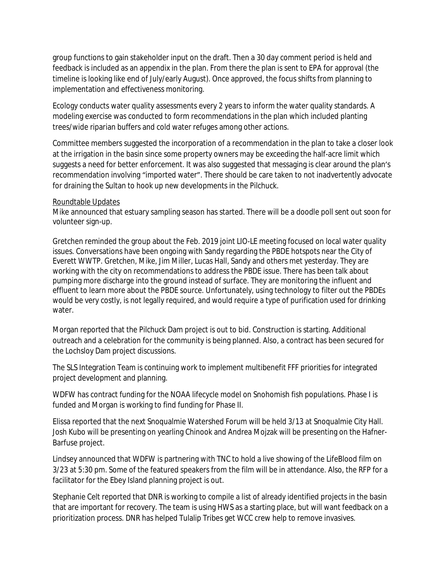group functions to gain stakeholder input on the draft. Then a 30 day comment period is held and feedback is included as an appendix in the plan. From there the plan is sent to EPA for approval (the timeline is looking like end of July/early August). Once approved, the focus shifts from planning to implementation and effectiveness monitoring.

Ecology conducts water quality assessments every 2 years to inform the water quality standards. A modeling exercise was conducted to form recommendations in the plan which included planting trees/wide riparian buffers and cold water refuges among other actions.

Committee members suggested the incorporation of a recommendation in the plan to take a closer look at the irrigation in the basin since some property owners may be exceeding the half-acre limit which suggests a need for better enforcement. It was also suggested that messaging is clear around the plan's recommendation involving "imported water". There should be care taken to not inadvertently advocate for draining the Sultan to hook up new developments in the Pilchuck.

#### Roundtable Updates

Mike announced that estuary sampling season has started. There will be a doodle poll sent out soon for volunteer sign-up.

Gretchen reminded the group about the Feb. 2019 joint LIO-LE meeting focused on local water quality issues. Conversations have been ongoing with Sandy regarding the PBDE hotspots near the City of Everett WWTP. Gretchen, Mike, Jim Miller, Lucas Hall, Sandy and others met yesterday. They are working with the city on recommendations to address the PBDE issue. There has been talk about pumping more discharge into the ground instead of surface. They are monitoring the influent and effluent to learn more about the PBDE source. Unfortunately, using technology to filter out the PBDEs would be very costly, is not legally required, and would require a type of purification used for drinking water.

Morgan reported that the Pilchuck Dam project is out to bid. Construction is starting. Additional outreach and a celebration for the community is being planned. Also, a contract has been secured for the Lochsloy Dam project discussions.

The SLS Integration Team is continuing work to implement multibenefit FFF priorities for integrated project development and planning.

WDFW has contract funding for the NOAA lifecycle model on Snohomish fish populations. Phase I is funded and Morgan is working to find funding for Phase II.

Elissa reported that the next Snoqualmie Watershed Forum will be held 3/13 at Snoqualmie City Hall. Josh Kubo will be presenting on yearling Chinook and Andrea Mojzak will be presenting on the Hafner-Barfuse project.

Lindsey announced that WDFW is partnering with TNC to hold a live showing of the LifeBlood film on 3/23 at 5:30 pm. Some of the featured speakers from the film will be in attendance. Also, the RFP for a facilitator for the Ebey Island planning project is out.

Stephanie Celt reported that DNR is working to compile a list of already identified projects in the basin that are important for recovery. The team is using HWS as a starting place, but will want feedback on a prioritization process. DNR has helped Tulalip Tribes get WCC crew help to remove invasives.